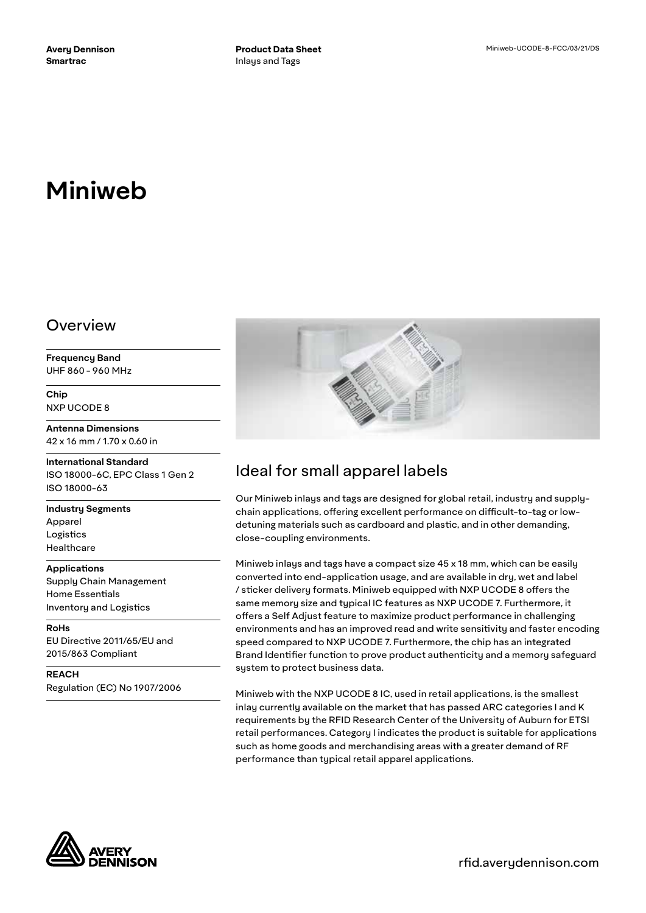# **Miniweb**

#### Overview

**Frequency Band** UHF 860 - 960 MHz

**Chip** NXP UCODE 8

**Antenna Dimensions** 42 x 16 mm / 1.70 x 0.60 in

**International Standard** ISO 18000-6C, EPC Class 1 Gen 2 ISO 18000-63

**Industry Segments** Apparel Logistics Healthcare

#### **Applications**

Supply Chain Management Home Essentials Inventory and Logistics

**RoHs** EU Directive 2011/65/EU and 2015/863 Compliant

**REACH** Regulation (EC) No 1907/2006



## Ideal for small apparel labels

Our Miniweb inlays and tags are designed for global retail, industry and supplychain applications, offering excellent performance on difficult-to-tag or lowdetuning materials such as cardboard and plastic, and in other demanding, close-coupling environments.

Miniweb inlays and tags have a compact size 45 x 18 mm, which can be easily converted into end-application usage, and are available in dry, wet and label / sticker delivery formats. Miniweb equipped with NXP UCODE 8 offers the same memory size and typical IC features as NXP UCODE 7. Furthermore, it offers a Self Adjust feature to maximize product performance in challenging environments and has an improved read and write sensitivity and faster encoding speed compared to NXP UCODE 7. Furthermore, the chip has an integrated Brand Identifier function to prove product authenticity and a memory safeguard system to protect business data.

Miniweb with the NXP UCODE 8 IC, used in retail applications, is the smallest inlay currently available on the market that has passed ARC categories I and K requirements by the RFID Research Center of the University of Auburn for ETSI retail performances. Category I indicates the product is suitable for applications such as home goods and merchandising areas with a greater demand of RF performance than typical retail apparel applications.



rfid.averydennison.com